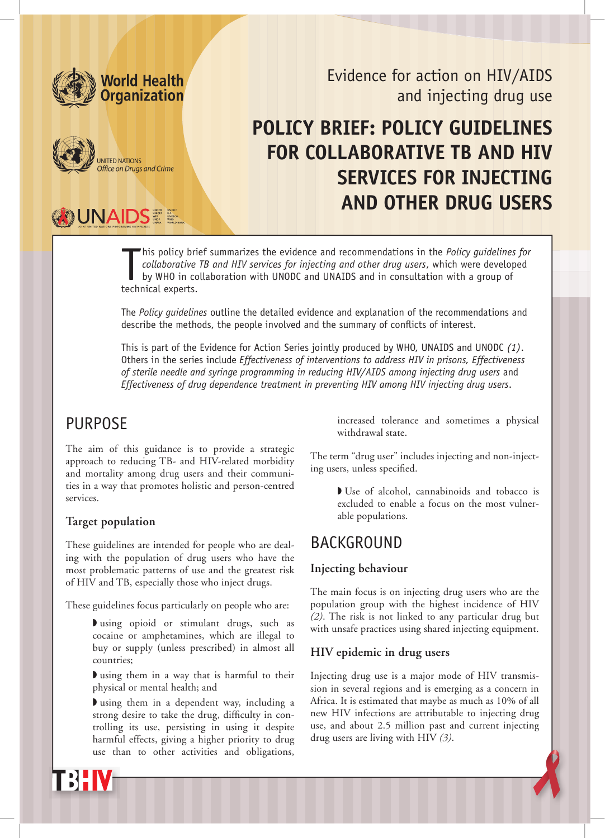

**BUNAIDSEE** 

UNITED NATIONS<br>Office on Drugs and Crime



# **Policy brief: Policy guidelines FOR COLLABORATIVE TB AND HIV services for injecting AND OTHER DRUG USERS**

his policy bries<br>
collaborative<br>
by WHO in co<br>
technical experts. his policy brief summarizes the evidence and recommendations in the *Policy guidelines for collaborative TB and HIV services for injecting and other drug users*, which were developed by WHO in collaboration with UNODC and UNAIDS and in consultation with a group of

The *Policy guidelines* outline the detailed evidence and explanation of the recommendations and describe the methods, the people involved and the summary of conflicts of interest.

This is part of the Evidence for Action Series jointly produced by WHO, UNAIDS and UNODC *(1)*. Others in the series include *Effectiveness of interventions to address HIV in prisons, Effectiveness of sterile needle and syringe programming in reducing HIV/AIDS among injecting drug users* and *Effectiveness of drug dependence treatment in preventing HIV among HIV injecting drug users*.

# **PURPOSE**

The aim of this guidance is to provide a strategic approach to reducing TB- and HIV-related morbidity and mortality among drug users and their communities in a way that promotes holistic and person-centred services.

#### **Target population**

These guidelines are intended for people who are dealing with the population of drug users who have the most problematic patterns of use and the greatest risk of HIV and TB, especially those who inject drugs.

These guidelines focus particularly on people who are:

◗ using opioid or stimulant drugs, such as cocaine or amphetamines, which are illegal to buy or supply (unless prescribed) in almost all countries;

◗ using them in a way that is harmful to their physical or mental health; and

◗ using them in a dependent way, including a strong desire to take the drug, difficulty in controlling its use, persisting in using it despite harmful effects, giving a higher priority to drug use than to other activities and obligations,

increased tolerance and sometimes a physical withdrawal state.

The term "drug user" includes injecting and non-injecting users, unless specified.

> ◗ Use of alcohol, cannabinoids and tobacco is excluded to enable a focus on the most vulnerable populations.

# BACKGROUND

#### **Injecting behaviour**

The main focus is on injecting drug users who are the population group with the highest incidence of HIV *(2)*. The risk is not linked to any particular drug but with unsafe practices using shared injecting equipment.

#### **HIV epidemic in drug users**

Injecting drug use is a major mode of HIV transmission in several regions and is emerging as a concern in Africa. It is estimated that maybe as much as 10% of all new HIV infections are attributable to injecting drug use, and about 2.5 million past and current injecting drug users are living with HIV *(3)*.

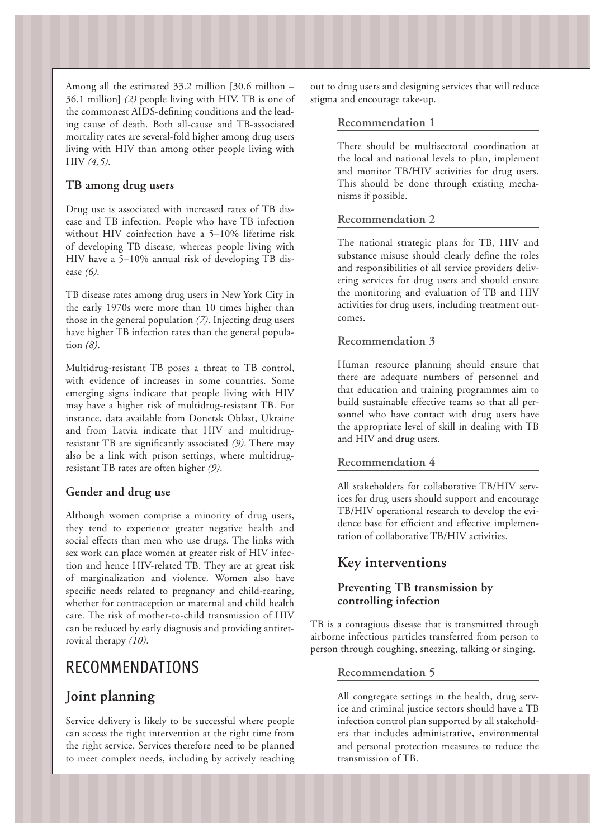Among all the estimated 33.2 million [30.6 million – 36.1 million] *(2)* people living with HIV, TB is one of the commonest AIDS-defining conditions and the leading cause of death. Both all-cause and TB-associated mortality rates are several-fold higher among drug users living with HIV than among other people living with HIV *(4,5)*.

### **TB among drug users**

Drug use is associated with increased rates of TB disease and TB infection. People who have TB infection without HIV coinfection have a 5–10% lifetime risk of developing TB disease, whereas people living with HIV have a 5–10% annual risk of developing TB disease *(6)*.

TB disease rates among drug users in New York City in the early 1970s were more than 10 times higher than those in the general population *(7)*. Injecting drug users have higher TB infection rates than the general population *(8)*.

Multidrug-resistant TB poses a threat to TB control, with evidence of increases in some countries. Some emerging signs indicate that people living with HIV may have a higher risk of multidrug-resistant TB. For instance, data available from Donetsk Oblast, Ukraine and from Latvia indicate that HIV and multidrugresistant TB are significantly associated *(9)*. There may also be a link with prison settings, where multidrugresistant TB rates are often higher *(9)*.

### **Gender and drug use**

Although women comprise a minority of drug users, they tend to experience greater negative health and social effects than men who use drugs. The links with sex work can place women at greater risk of HIV infection and hence HIV-related TB. They are at great risk of marginalization and violence. Women also have specific needs related to pregnancy and child-rearing, whether for contraception or maternal and child health care. The risk of mother-to-child transmission of HIV can be reduced by early diagnosis and providing antiretroviral therapy *(10)*.

# RECOMMENDATIONS

# **Joint planning**

Service delivery is likely to be successful where people can access the right intervention at the right time from the right service. Services therefore need to be planned to meet complex needs, including by actively reaching out to drug users and designing services that will reduce stigma and encourage take-up.

### **Recommendation 1**

There should be multisectoral coordination at the local and national levels to plan, implement and monitor TB/HIV activities for drug users. This should be done through existing mechanisms if possible.

# **Recommendation 2**

The national strategic plans for TB, HIV and substance misuse should clearly define the roles and responsibilities of all service providers delivering services for drug users and should ensure the monitoring and evaluation of TB and HIV activities for drug users, including treatment outcomes.

# **Recommendation 3**

Human resource planning should ensure that there are adequate numbers of personnel and that education and training programmes aim to build sustainable effective teams so that all personnel who have contact with drug users have the appropriate level of skill in dealing with TB and HIV and drug users.

### **Recommendation 4**

All stakeholders for collaborative TB/HIV services for drug users should support and encourage TB/HIV operational research to develop the evidence base for efficient and effective implementation of collaborative TB/HIV activities.

# **Key interventions**

# **Preventing TB transmission by controlling infection**

TB is a contagious disease that is transmitted through airborne infectious particles transferred from person to person through coughing, sneezing, talking or singing.

### **Recommendation 5**

All congregate settings in the health, drug service and criminal justice sectors should have a TB infection control plan supported by all stakeholders that includes administrative, environmental and personal protection measures to reduce the transmission of TB.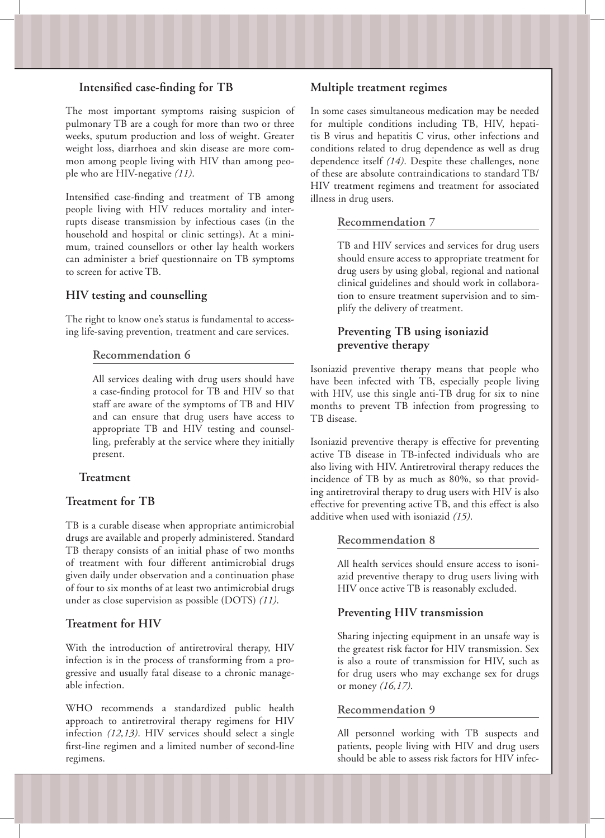#### **Intensified case-finding for TB**

The most important symptoms raising suspicion of pulmonary TB are a cough for more than two or three weeks, sputum production and loss of weight. Greater weight loss, diarrhoea and skin disease are more common among people living with HIV than among people who are HIV-negative *(11)*.

Intensified case-finding and treatment of TB among people living with HIV reduces mortality and interrupts disease transmission by infectious cases (in the household and hospital or clinic settings). At a minimum, trained counsellors or other lay health workers can administer a brief questionnaire on TB symptoms to screen for active TB.

#### **HIV testing and counselling**

The right to know one's status is fundamental to accessing life-saving prevention, treatment and care services.

#### **Recommendation 6**

All services dealing with drug users should have a case-finding protocol for TB and HIV so that staff are aware of the symptoms of TB and HIV and can ensure that drug users have access to appropriate TB and HIV testing and counselling, preferably at the service where they initially present.

#### **Treatment**

#### **Treatment for TB**

TB is a curable disease when appropriate antimicrobial drugs are available and properly administered. Standard TB therapy consists of an initial phase of two months of treatment with four different antimicrobial drugs given daily under observation and a continuation phase of four to six months of at least two antimicrobial drugs under as close supervision as possible (DOTS) *(11)*.

#### **Treatment for HIV**

With the introduction of antiretroviral therapy, HIV infection is in the process of transforming from a progressive and usually fatal disease to a chronic manageable infection.

WHO recommends a standardized public health approach to antiretroviral therapy regimens for HIV infection *(12,13)*. HIV services should select a single first-line regimen and a limited number of second-line regimens.

#### **Multiple treatment regimes**

In some cases simultaneous medication may be needed for multiple conditions including TB, HIV, hepatitis B virus and hepatitis C virus, other infections and conditions related to drug dependence as well as drug dependence itself *(14)*. Despite these challenges, none of these are absolute contraindications to standard TB/ HIV treatment regimens and treatment for associated illness in drug users.

#### **Recommendation 7**

TB and HIV services and services for drug users should ensure access to appropriate treatment for drug users by using global, regional and national clinical guidelines and should work in collaboration to ensure treatment supervision and to simplify the delivery of treatment.

#### **Preventing TB using isoniazid preventive therapy**

Isoniazid preventive therapy means that people who have been infected with TB, especially people living with HIV, use this single anti-TB drug for six to nine months to prevent TB infection from progressing to TB disease.

Isoniazid preventive therapy is effective for preventing active TB disease in TB-infected individuals who are also living with HIV. Antiretroviral therapy reduces the incidence of TB by as much as 80%, so that providing antiretroviral therapy to drug users with HIV is also effective for preventing active TB, and this effect is also additive when used with isoniazid *(15)*.

#### **Recommendation 8**

All health services should ensure access to isoniazid preventive therapy to drug users living with HIV once active TB is reasonably excluded.

#### **Preventing HIV transmission**

Sharing injecting equipment in an unsafe way is the greatest risk factor for HIV transmission. Sex is also a route of transmission for HIV, such as for drug users who may exchange sex for drugs or money *(16,17)*.

#### **Recommendation 9**

All personnel working with TB suspects and patients, people living with HIV and drug users should be able to assess risk factors for HIV infec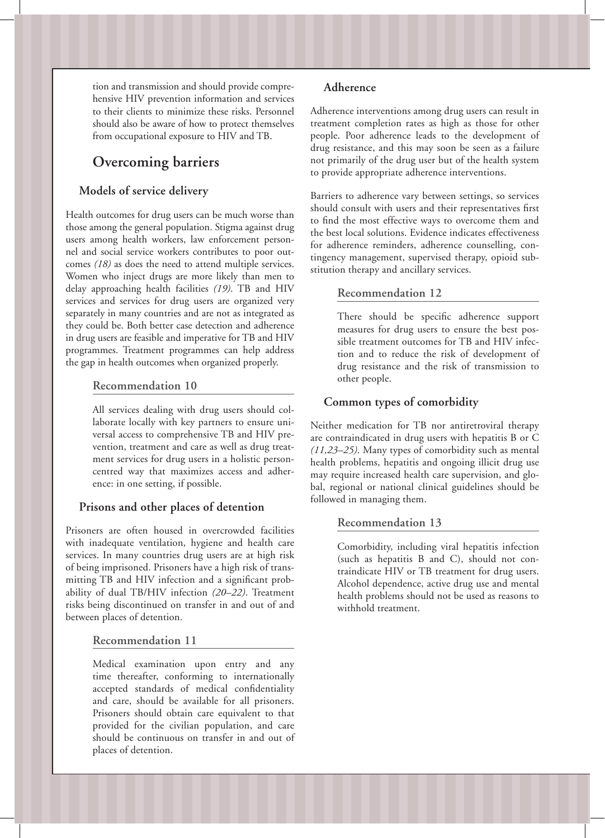tion and transmission and should provide comprehensive HIV prevention information and services to their clients to minimize these risks. Personnel should also be aware of how to protect themselves from occupational exposure to HIV and TB.

# **Overcoming barriers**

#### **Models of service delivery**

Health outcomes for drug users can be much worse than those among the general population. Stigma against drug users among health workers, law enforcement personnel and social service workers contributes to poor outcomes *(18)* as does the need to attend multiple services. Women who inject drugs are more likely than men to delay approaching health facilities *(19)*. TB and HIV services and services for drug users are organized very separately in many countries and are not as integrated as they could be. Both better case detection and adherence in drug users are feasible and imperative for TB and HIV programmes. Treatment programmes can help address the gap in health outcomes when organized properly.

#### **Recommendation 10**

All services dealing with drug users should collaborate locally with key partners to ensure universal access to comprehensive TB and HIV prevention, treatment and care as well as drug treatment services for drug users in a holistic personcentred way that maximizes access and adherence: in one setting, if possible.

#### **Prisons and other places of detention**

Prisoners are often housed in overcrowded facilities with inadequate ventilation, hygiene and health care services. In many countries drug users are at high risk of being imprisoned. Prisoners have a high risk of transmitting TB and HIV infection and a significant probability of dual TB/HIV infection *(20–22)*. Treatment risks being discontinued on transfer in and out of and between places of detention.

#### **Recommendation 11**

Medical examination upon entry and any time thereafter, conforming to internationally accepted standards of medical confidentiality and care, should be available for all prisoners. Prisoners should obtain care equivalent to that provided for the civilian population, and care should be continuous on transfer in and out of places of detention.

#### **Adherence**

Adherence interventions among drug users can result in treatment completion rates as high as those for other people. Poor adherence leads to the development of drug resistance, and this may soon be seen as a failure not primarily of the drug user but of the health system to provide appropriate adherence interventions.

Barriers to adherence vary between settings, so services should consult with users and their representatives first to find the most effective ways to overcome them and the best local solutions. Evidence indicates effectiveness for adherence reminders, adherence counselling, contingency management, supervised therapy, opioid substitution therapy and ancillary services.

#### **Recommendation 12**

There should be specific adherence support measures for drug users to ensure the best possible treatment outcomes for TB and HIV infection and to reduce the risk of development of drug resistance and the risk of transmission to other people.

#### **Common types of comorbidity**

Neither medication for TB nor antiretroviral therapy are contraindicated in drug users with hepatitis B or C *(11,23–25)*. Many types of comorbidity such as mental health problems, hepatitis and ongoing illicit drug use may require increased health care supervision, and global, regional or national clinical guidelines should be followed in managing them.

#### **Recommendation 13**

Comorbidity, including viral hepatitis infection (such as hepatitis B and C), should not contraindicate HIV or TB treatment for drug users. Alcohol dependence, active drug use and mental health problems should not be used as reasons to withhold treatment.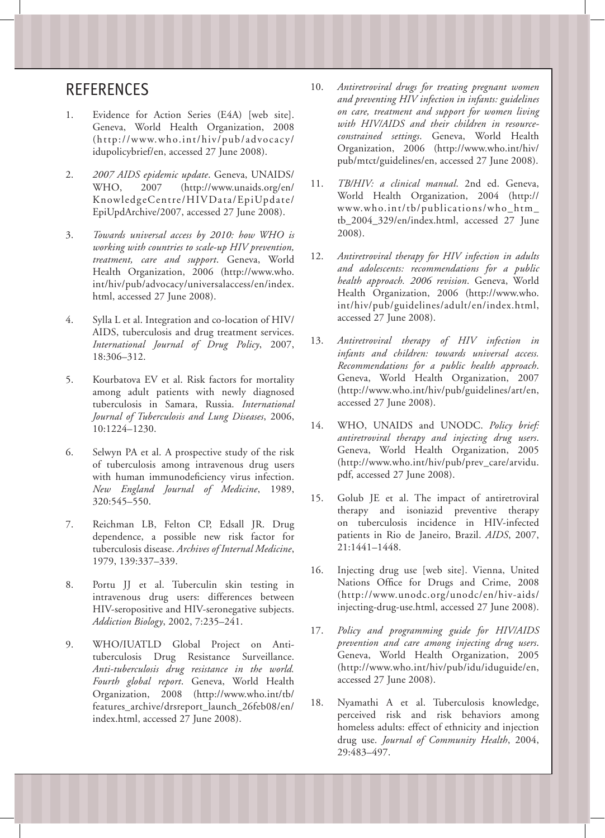# **REFERENCES**

- 1. Evidence for Action Series (E4A) [web site]. Geneva, World Health Organization, 2008 (http://www.who.int/hiv/pub/advocacy/ idupolicybrief/en, accessed 27 June 2008).
- 2. *2007 AIDS epidemic update*. Geneva, UNAIDS/ WHO, 2007 (http://www.unaids.org/en/ KnowledgeCentre/HIVData/EpiUpdate/ EpiUpdArchive/2007, accessed 27 June 2008).
- 3. *Towards universal access by 2010: how WHO is working with countries to scale-up HIV prevention, treatment, care and support*. Geneva, World Health Organization, 2006 (http://www.who. int/hiv/pub/advocacy/universalaccess/en/index. html, accessed 27 June 2008).
- 4. Sylla L et al. Integration and co-location of HIV/ AIDS, tuberculosis and drug treatment services. *International Journal of Drug Policy*, 2007, 18:306–312.
- 5. Kourbatova EV et al. Risk factors for mortality among adult patients with newly diagnosed tuberculosis in Samara, Russia. *International Journal of Tuberculosis and Lung Diseases*, 2006, 10:1224–1230.
- 6. Selwyn PA et al. A prospective study of the risk of tuberculosis among intravenous drug users with human immunodeficiency virus infection. *New England Journal of Medicine*, 1989, 320:545–550.
- 7. Reichman LB, Felton CP, Edsall JR. Drug dependence, a possible new risk factor for tuberculosis disease. *Archives of Internal Medicine*, 1979, 139:337–339.
- 8. Portu JJ et al. Tuberculin skin testing in intravenous drug users: differences between HIV-seropositive and HIV-seronegative subjects. *Addiction Biology*, 2002, 7:235–241.
- 9. WHO/IUATLD Global Project on Antituberculosis Drug Resistance Surveillance. *Anti-tuberculosis drug resistance in the world. Fourth global report*. Geneva, World Health Organization, 2008 (http://www.who.int/tb/ features\_archive/drsreport\_launch\_26feb08/en/ index.html, accessed 27 June 2008).
- 10. *Antiretroviral drugs for treating pregnant women and preventing HIV infection in infants: guidelines on care, treatment and support for women living with HIV/AIDS and their children in resourceconstrained settings*. Geneva, World Health Organization, 2006 (http://www.who.int/hiv/ pub/mtct/guidelines/en, accessed 27 June 2008).
- 11. *TB/HIV: a clinical manual*. 2nd ed. Geneva, World Health Organization, 2004 (http:// www.who.int/tb/publications/who\_htm\_ tb\_2004\_329/en/index.html, accessed 27 June 2008).
- 12. *Antiretroviral therapy for HIV infection in adults and adolescents: recommendations for a public health approach. 2006 revision*. Geneva, World Health Organization, 2006 (http://www.who. int/hiv/pub/guidelines/adult/en/index.html, accessed 27 June 2008).
- 13. *Antiretroviral therapy of HIV infection in infants and children: towards universal access. Recommendations for a public health approach*. Geneva, World Health Organization, 2007 (http://www.who.int/hiv/pub/guidelines/art/en, accessed 27 June 2008).
- 14. WHO, UNAIDS and UNODC. *Policy brief: antiretroviral therapy and injecting drug users*. Geneva, World Health Organization, 2005 (http://www.who.int/hiv/pub/prev\_care/arvidu. pdf, accessed 27 June 2008).
- 15. Golub JE et al. The impact of antiretroviral therapy and isoniazid preventive therapy on tuberculosis incidence in HIV-infected patients in Rio de Janeiro, Brazil. *AIDS*, 2007, 21:1441–1448.
- 16. Injecting drug use [web site]. Vienna, United Nations Office for Drugs and Crime, 2008 (http://www.unodc.org/unodc/en/hiv-aids/ injecting-drug-use.html, accessed 27 June 2008).
- 17. *Policy and programming guide for HIV/AIDS prevention and care among injecting drug users*. Geneva, World Health Organization, 2005 (http://www.who.int/hiv/pub/idu/iduguide/en, accessed 27 June 2008).
- 18. Nyamathi A et al. Tuberculosis knowledge, perceived risk and risk behaviors among homeless adults: effect of ethnicity and injection drug use. *Journal of Community Health*, 2004, 29:483–497.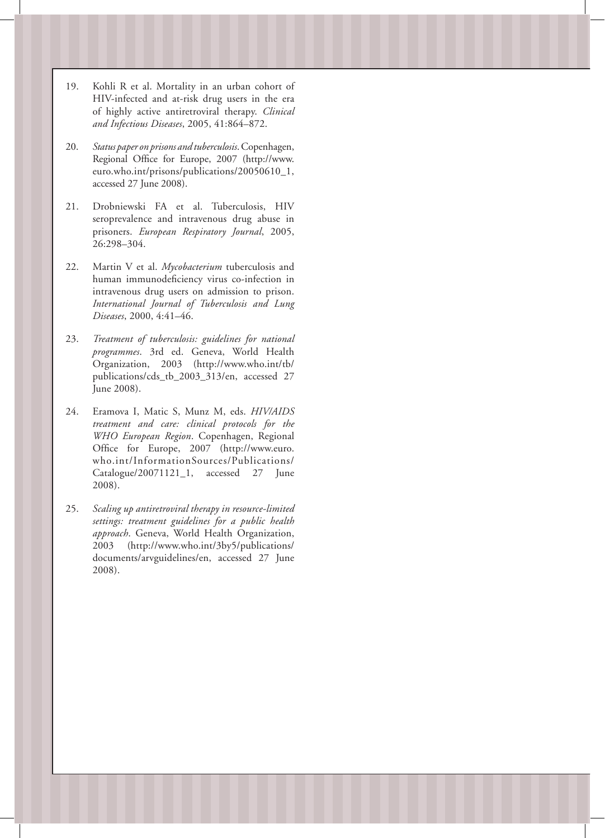- 19. Kohli R et al. Mortality in an urban cohort of HIV-infected and at-risk drug users in the era of highly active antiretroviral therapy. *Clinical and Infectious Diseases*, 2005, 41:864–872.
- 20. *Status paper on prisons and tuberculosis*. Copenhagen, Regional Office for Europe, 2007 (http://www. euro.who.int/prisons/publications/20050610\_1, accessed 27 June 2008).
- 21. Drobniewski FA et al. Tuberculosis, HIV seroprevalence and intravenous drug abuse in prisoners. *European Respiratory Journal*, 2005, 26:298–304.
- 22. Martin V et al. *Mycobacterium* tuberculosis and human immunodeficiency virus co-infection in intravenous drug users on admission to prison. *International Journal of Tuberculosis and Lung Diseases*, 2000, 4:41–46.
- 23. *Treatment of tuberculosis: guidelines for national programmes*. 3rd ed. Geneva, World Health Organization, 2003 (http://www.who.int/tb/ publications/cds\_tb\_2003\_313/en, accessed 27 June 2008).
- 24. Eramova I, Matic S, Munz M, eds. *HIV/AIDS treatment and care: clinical protocols for the WHO European Region*. Copenhagen, Regional Office for Europe, 2007 (http://www.euro. who.int/InformationSources/Publications/ Catalogue/20071121\_1, accessed 27 June 2008).
- 25. *Scaling up antiretroviral therapy in resource-limited settings: treatment guidelines for a public health approach*. Geneva, World Health Organization, 2003 (http://www.who.int/3by5/publications/ documents/arvguidelines/en, accessed 27 June 2008).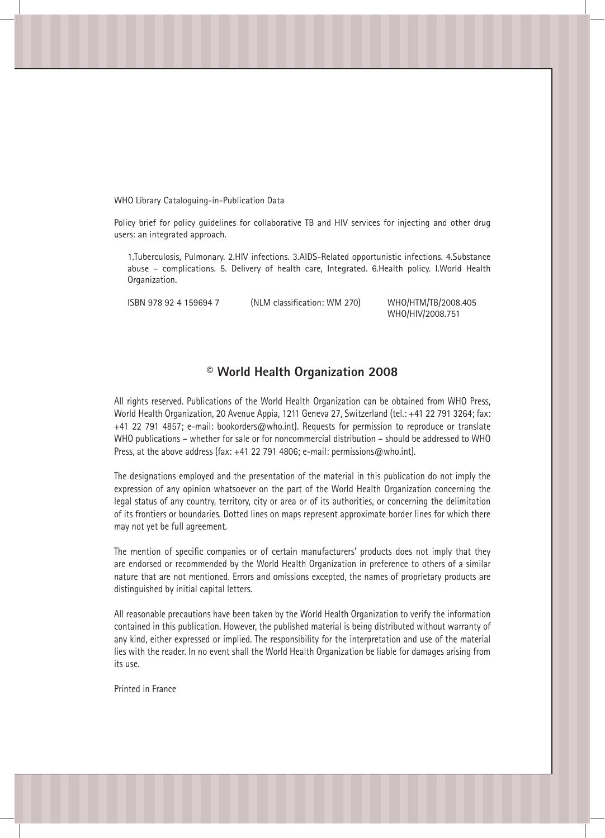WHO Library Cataloguing-in-Publication Data

Policy brief for policy guidelines for collaborative TB and HIV services for injecting and other drug users: an integrated approach.

1.Tuberculosis, Pulmonary. 2.HIV infections. 3.AIDS-Related opportunistic infections. 4.Substance abuse – complications. 5. Delivery of health care, Integrated. 6.Health policy. I.World Health Organization.

ISBN 978 92 4 159694 7 (NLM classification: WM 270) WHO/HTM/TB/2008.405

WHO/HIV/2008.751

# **© World Health Organization 2008**

All rights reserved. Publications of the World Health Organization can be obtained from WHO Press, World Health Organization, 20 Avenue Appia, 1211 Geneva 27, Switzerland (tel.: +41 22 791 3264; fax: +41 22 791 4857; e-mail: bookorders@who.int). Requests for permission to reproduce or translate WHO publications – whether for sale or for noncommercial distribution – should be addressed to WHO Press, at the above address (fax: +41 22 791 4806; e-mail: permissions@who.int).

The designations employed and the presentation of the material in this publication do not imply the expression of any opinion whatsoever on the part of the World Health Organization concerning the legal status of any country, territory, city or area or of its authorities, or concerning the delimitation of its frontiers or boundaries. Dotted lines on maps represent approximate border lines for which there may not yet be full agreement.

The mention of specific companies or of certain manufacturers' products does not imply that they are endorsed or recommended by the World Health Organization in preference to others of a similar nature that are not mentioned. Errors and omissions excepted, the names of proprietary products are distinguished by initial capital letters.

All reasonable precautions have been taken by the World Health Organization to verify the information contained in this publication. However, the published material is being distributed without warranty of any kind, either expressed or implied. The responsibility for the interpretation and use of the material lies with the reader. In no event shall the World Health Organization be liable for damages arising from its use.

Printed in France